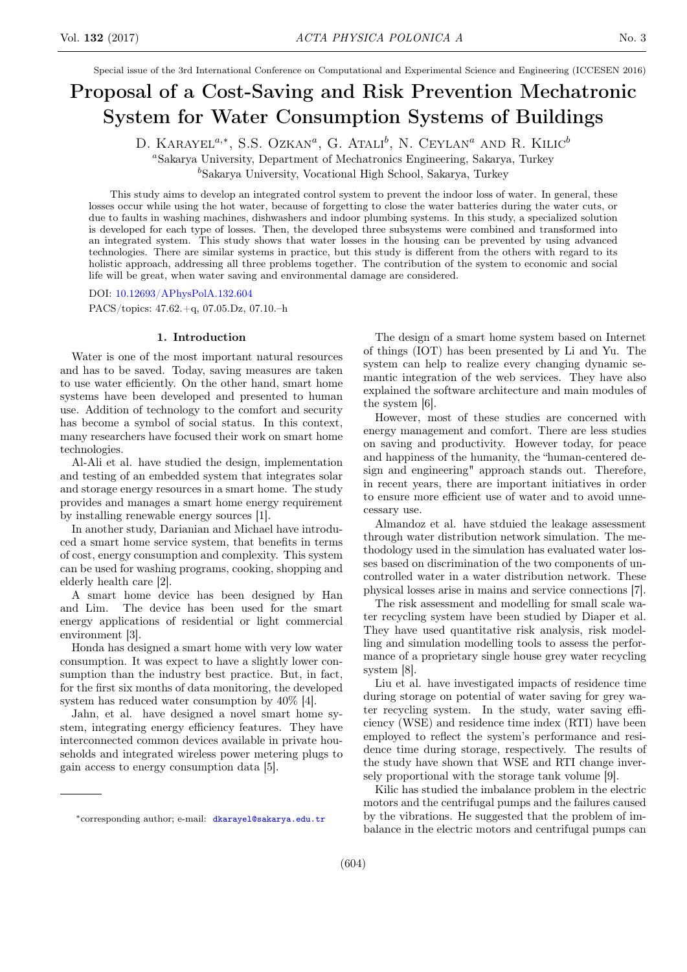Special issue of the 3rd International Conference on Computational and Experimental Science and Engineering (ICCESEN 2016)

# Proposal of a Cost-Saving and Risk Prevention Mechatronic System for Water Consumption Systems of Buildings

D. KARAYEL<sup> $a,*$ </sup>, S.S. Ozkan<sup> $a$ </sup>, G. Atali<sup>b</sup>, N. Ceylan<sup> $a$ </sup> and R. Kilic<sup>b</sup> <sup>a</sup>Sakarya University, Department of Mechatronics Engineering, Sakarya, Turkey

<sup>b</sup>Sakarya University, Vocational High School, Sakarya, Turkey

This study aims to develop an integrated control system to prevent the indoor loss of water. In general, these losses occur while using the hot water, because of forgetting to close the water batteries during the water cuts, or due to faults in washing machines, dishwashers and indoor plumbing systems. In this study, a specialized solution is developed for each type of losses. Then, the developed three subsystems were combined and transformed into an integrated system. This study shows that water losses in the housing can be prevented by using advanced technologies. There are similar systems in practice, but this study is different from the others with regard to its holistic approach, addressing all three problems together. The contribution of the system to economic and social life will be great, when water saving and environmental damage are considered.

DOI: [10.12693/APhysPolA.132.604](http://doi.org/10.12693/APhysPolA.132.604)

PACS/topics: 47.62.+q, 07.05.Dz, 07.10.–h

## 1. Introduction

Water is one of the most important natural resources and has to be saved. Today, saving measures are taken to use water efficiently. On the other hand, smart home systems have been developed and presented to human use. Addition of technology to the comfort and security has become a symbol of social status. In this context, many researchers have focused their work on smart home technologies.

Al-Ali et al. have studied the design, implementation and testing of an embedded system that integrates solar and storage energy resources in a smart home. The study provides and manages a smart home energy requirement by installing renewable energy sources [1].

In another study, Darianian and Michael have introduced a smart home service system, that benefits in terms of cost, energy consumption and complexity. This system can be used for washing programs, cooking, shopping and elderly health care [2].

A smart home device has been designed by Han and Lim. The device has been used for the smart energy applications of residential or light commercial environment [3].

Honda has designed a smart home with very low water consumption. It was expect to have a slightly lower consumption than the industry best practice. But, in fact, for the first six months of data monitoring, the developed system has reduced water consumption by 40% [4].

Jahn, et al. have designed a novel smart home system, integrating energy efficiency features. They have interconnected common devices available in private households and integrated wireless power metering plugs to gain access to energy consumption data [5].

The design of a smart home system based on Internet of things (IOT) has been presented by Li and Yu. The system can help to realize every changing dynamic semantic integration of the web services. They have also explained the software architecture and main modules of the system [6].

However, most of these studies are concerned with energy management and comfort. There are less studies on saving and productivity. However today, for peace and happiness of the humanity, the "human-centered design and engineering" approach stands out. Therefore, in recent years, there are important initiatives in order to ensure more efficient use of water and to avoid unnecessary use.

Almandoz et al. have stduied the leakage assessment through water distribution network simulation. The methodology used in the simulation has evaluated water losses based on discrimination of the two components of uncontrolled water in a water distribution network. These physical losses arise in mains and service connections [7].

The risk assessment and modelling for small scale water recycling system have been studied by Diaper et al. They have used quantitative risk analysis, risk modelling and simulation modelling tools to assess the performance of a proprietary single house grey water recycling system [8].

Liu et al. have investigated impacts of residence time during storage on potential of water saving for grey water recycling system. In the study, water saving efficiency (WSE) and residence time index (RTI) have been employed to reflect the system's performance and residence time during storage, respectively. The results of the study have shown that WSE and RTI change inversely proportional with the storage tank volume [9].

Kilic has studied the imbalance problem in the electric motors and the centrifugal pumps and the failures caused by the vibrations. He suggested that the problem of imbalance in the electric motors and centrifugal pumps can

<sup>∗</sup>corresponding author; e-mail: [dkarayel@sakarya.edu.tr](mailto:dkarayel@sakarya.edu.tr)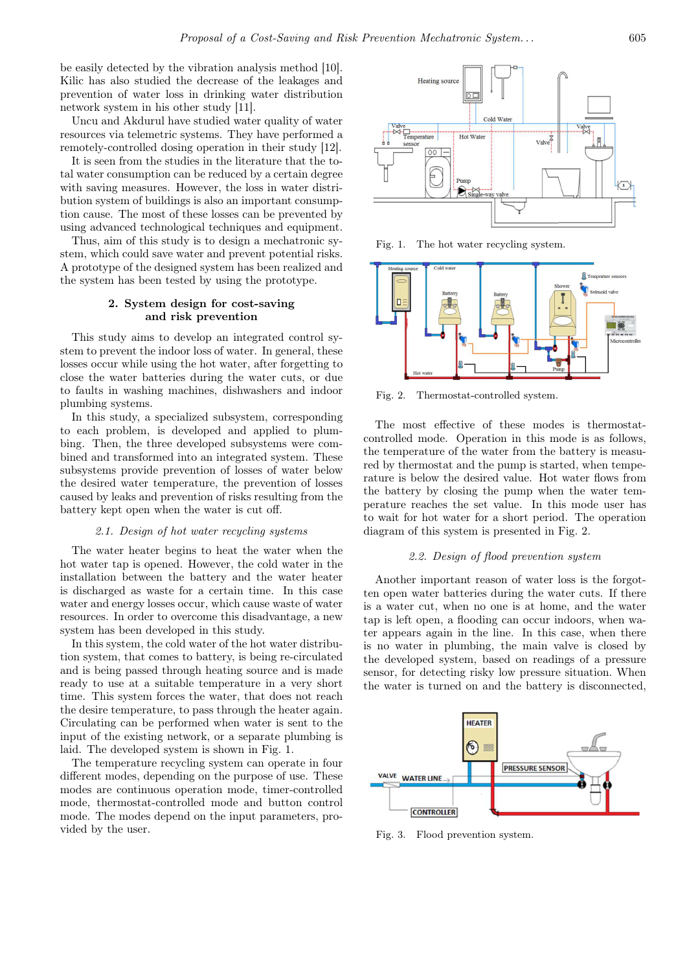be easily detected by the vibration analysis method [10]. Kilic has also studied the decrease of the leakages and prevention of water loss in drinking water distribution network system in his other study [11].

Uncu and Akdurul have studied water quality of water resources via telemetric systems. They have performed a remotely-controlled dosing operation in their study [12].

It is seen from the studies in the literature that the total water consumption can be reduced by a certain degree with saving measures. However, the loss in water distribution system of buildings is also an important consumption cause. The most of these losses can be prevented by using advanced technological techniques and equipment.

Thus, aim of this study is to design a mechatronic system, which could save water and prevent potential risks. A prototype of the designed system has been realized and the system has been tested by using the prototype.

# 2. System design for cost-saving and risk prevention

This study aims to develop an integrated control system to prevent the indoor loss of water. In general, these losses occur while using the hot water, after forgetting to close the water batteries during the water cuts, or due to faults in washing machines, dishwashers and indoor plumbing systems.

In this study, a specialized subsystem, corresponding to each problem, is developed and applied to plumbing. Then, the three developed subsystems were combined and transformed into an integrated system. These subsystems provide prevention of losses of water below the desired water temperature, the prevention of losses caused by leaks and prevention of risks resulting from the battery kept open when the water is cut off.

## 2.1. Design of hot water recycling systems

The water heater begins to heat the water when the hot water tap is opened. However, the cold water in the installation between the battery and the water heater is discharged as waste for a certain time. In this case water and energy losses occur, which cause waste of water resources. In order to overcome this disadvantage, a new system has been developed in this study.

In this system, the cold water of the hot water distribution system, that comes to battery, is being re-circulated and is being passed through heating source and is made ready to use at a suitable temperature in a very short time. This system forces the water, that does not reach the desire temperature, to pass through the heater again. Circulating can be performed when water is sent to the input of the existing network, or a separate plumbing is laid. The developed system is shown in Fig. 1.

The temperature recycling system can operate in four different modes, depending on the purpose of use. These modes are continuous operation mode, timer-controlled mode, thermostat-controlled mode and button control mode. The modes depend on the input parameters, provided by the user.



Fig. 1. The hot water recycling system.



Fig. 2. Thermostat-controlled system.

The most effective of these modes is thermostatcontrolled mode. Operation in this mode is as follows, the temperature of the water from the battery is measured by thermostat and the pump is started, when temperature is below the desired value. Hot water flows from the battery by closing the pump when the water temperature reaches the set value. In this mode user has to wait for hot water for a short period. The operation diagram of this system is presented in Fig. 2.

## 2.2. Design of flood prevention system

Another important reason of water loss is the forgotten open water batteries during the water cuts. If there is a water cut, when no one is at home, and the water tap is left open, a flooding can occur indoors, when water appears again in the line. In this case, when there is no water in plumbing, the main valve is closed by the developed system, based on readings of a pressure sensor, for detecting risky low pressure situation. When the water is turned on and the battery is disconnected,



Fig. 3. Flood prevention system.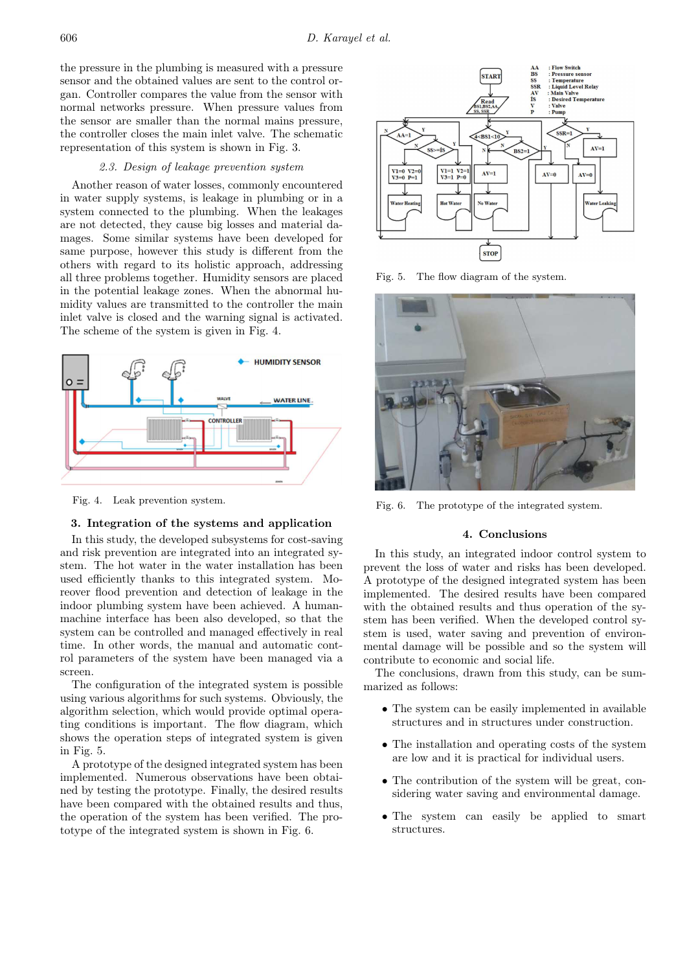the pressure in the plumbing is measured with a pressure sensor and the obtained values are sent to the control organ. Controller compares the value from the sensor with normal networks pressure. When pressure values from the sensor are smaller than the normal mains pressure, the controller closes the main inlet valve. The schematic representation of this system is shown in Fig. 3.

#### 2.3. Design of leakage prevention system

Another reason of water losses, commonly encountered in water supply systems, is leakage in plumbing or in a system connected to the plumbing. When the leakages are not detected, they cause big losses and material damages. Some similar systems have been developed for same purpose, however this study is different from the others with regard to its holistic approach, addressing all three problems together. Humidity sensors are placed in the potential leakage zones. When the abnormal humidity values are transmitted to the controller the main inlet valve is closed and the warning signal is activated. The scheme of the system is given in Fig. 4.



Fig. 4. Leak prevention system.

# 3. Integration of the systems and application

In this study, the developed subsystems for cost-saving and risk prevention are integrated into an integrated system. The hot water in the water installation has been used efficiently thanks to this integrated system. Moreover flood prevention and detection of leakage in the indoor plumbing system have been achieved. A humanmachine interface has been also developed, so that the system can be controlled and managed effectively in real time. In other words, the manual and automatic control parameters of the system have been managed via a screen.

The configuration of the integrated system is possible using various algorithms for such systems. Obviously, the algorithm selection, which would provide optimal operating conditions is important. The flow diagram, which shows the operation steps of integrated system is given in Fig. 5.

A prototype of the designed integrated system has been implemented. Numerous observations have been obtained by testing the prototype. Finally, the desired results have been compared with the obtained results and thus, the operation of the system has been verified. The prototype of the integrated system is shown in Fig. 6.



Fig. 5. The flow diagram of the system.



Fig. 6. The prototype of the integrated system.

## 4. Conclusions

In this study, an integrated indoor control system to prevent the loss of water and risks has been developed. A prototype of the designed integrated system has been implemented. The desired results have been compared with the obtained results and thus operation of the system has been verified. When the developed control system is used, water saving and prevention of environmental damage will be possible and so the system will contribute to economic and social life.

The conclusions, drawn from this study, can be summarized as follows:

- The system can be easily implemented in available structures and in structures under construction.
- The installation and operating costs of the system are low and it is practical for individual users.
- The contribution of the system will be great, considering water saving and environmental damage.
- The system can easily be applied to smart structures.